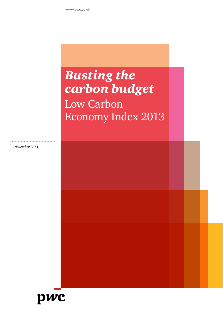# *Busting the carbon budget* Low Carbon Economy Index 2013

*November 2013*

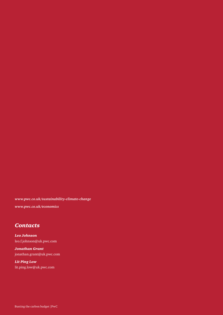*www.pwc.co.uk/sustainability-climate-change*

*www.pwc.co.uk/economics*

## *Contacts*

*Leo Johnson* leo.f.johnson@uk.pwc.com

*Jonathan Grant* jonathan.grant@uk.pwc.com

*Lit Ping Low* lit.ping.low@uk.pwc.com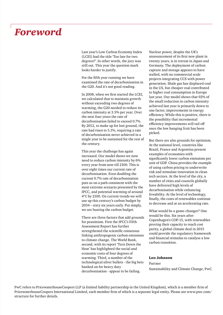## *Foreword*

Last year's Low Carbon Economy Index (LCEI) had the title 'Too late for two degrees?'. In other words, the jury was still out. This year the question mark looks harder to justify.

For the fifth year running we have examined the rate of decarbonisation in the G20. And it's not good reading.

In 2008, when we first started the LCEI, we calculated that to maintain growth without exceeding two degrees of warming, the G20 needed to reduce its carbon intensity at 3.5% per year. Over the next four years the rate of decarbonisation failed to exceed 0.7%. By 2012, to make up for lost ground, the rate had risen to 5.1%, requiring a rate of decarbonisation never achieved in a single year to be sustained for the rest of the century.

This year the challenge has again increased. Our model shows we now need to reduce carbon intensity by 6% every year from now till 2100. This is over eight times our current rate of decarbonisation. Even doubling the current 0.7% rate of decarbonisation puts us on a path consistent with the most extreme scenario presented by the IPCC, and potential warming of around 4°C by 2100. On current trends we will use up this century's carbon budget by 2034 – sixty six years early. Put simply, we are busting the carbon budget.

There are three factors that add grounds for pessimism. First the IPCC's Fifth Assessment Report has further strengthened the scientific consensus linking anthropogenic carbon emissions to climate change. The World Bank, second, with its report 'Turn Down the Heat' has highlighted the social and economic costs of four degrees of warming. Third, a number of the technological silver bullets - the big bets banked on for heavy duty decarbonisation - appear to be failing.

Nuclear power, despite the UK's announcement of its first new plant in twenty years, is in retreat in Japan and Germany. The deployment of carbon capture and storage appears to have stalled, with no commercial scale projects integrating CCS with power generation. Shale gas has displaced coal in the US, but cheaper coal contributed to higher coal consumption in Europe last year. Our model shows that 92% of the small reduction in carbon intensity achieved last year is primarily down to one factor, improvements in energy efficiency. While this is positive, there is the possibility that incremental efficiency improvements will tail off once the low hanging fruit has been picked.

But there are also grounds for optimism. At the national level, countries like Brazil, France and Argentina present examples of economies with significantly lower carbon emissions per unit of GDP. China provides the example of using carbon pricing to underwrite risk and stimulate innovation in clean tech sectors. At the level of the city, a number of cities and councils globally have delivered high levels of decarbonisation while enhancing liveability. At the level of technology, finally, the costs of renewables continue to decrease and at an accelerating rate.

What would be a game-changer? One would be this. Six years after Copenhagen's COP-15, with renewables proving their capacity to reach cost parity, a global climate deal in 2015 could provide the regulatory framework and financial stimulus to catalyse a low carbon transition.

#### Leo Johnson

#### Partner Sustainability and Climate Change, PwC

PwC refers to PricewaterhouseCoopers LLP (a limited liability partnership in the United Kingdom), which is a member firm of PricewaterhouseCoopers International Limited, each member firm of which is a separate legal entity. Please see www.pwc.com/ structure for further details.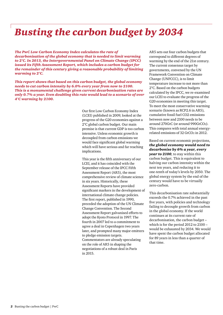## *Busting the carbon budget by 2034*

*The PwC Low Carbon Economy Index calculates the rate of decarbonisation of the global economy that is needed to limit warming to 2°C. In 2013, the Intergovernmental Panel on Climate Change (IPCC) issued its Fifth Assessment Report, which includes a carbon budget for the remainder of this century giving a reasonable probability of limiting warming to 2°C.*

*This report shows that based on this carbon budget, the global economy needs to cut carbon intensity by 6.0% every year from now to 2100. This is a monumental challenge given current decarbonisation rates are only 0.7% a year. Even doubling this rate would lead to a scenario of over 4°C warming by 2100.*

> Our first Low Carbon Economy Index (LCEI) published in 2009, looked at the progress of the G20 economies against a 2°C global carbon budget. Our main premise is that current GDP is too carbon intensive. Unless economic growth is decoupled from carbon emissions we would face significant global warming which will have serious and far reaching implications.

> This year is the fifth anniversary of our LCEI, and it has coincided with the September release of the IPCC Fifth Assessment Report (AR5), the most comprehensive review of climate science in six years. Historically, these Assessment Reports have provided significant markers in the development of international climate change policies. The first report, published in 1990, preceded the adoption of the UN Climate Change Convention. The Second Assessment Report galvanised efforts to adopt the Kyoto Protocol in 1997. The fourth in 2007 led to a commitment to agree a deal in Copenhagen two years later, and prompted many major emitters to pledge emission targets. Commentators are already speculating on the role of AR5 in shaping the negotiations of a robust deal in Paris in 2015.

AR5 sets out four carbon budgets that correspond to different degrees of warming by the end of the 21st century. The current consensus target by governments, convened by the UN Framework Convention on Climate Change (UNFCCC), is to limit temperature increase to not more than 2°C. Based on the carbon budgets calculated by the IPCC, we re-examined our LCEI to evaluate the progress of the G20 economies in meeting this target. To meet the most conservative warming scenario (known as RCP2.6 in AR5), cumulative fossil fuel CO2 emissions between now and 2100 needs to be around 270GtC (or around 990GtCO2). This compares with total annual energyrelated emissions of 32 GtCO2 in 2012.

Based on current economic projections, *the global economy would need to decarbonise by 6% a year, every year to 2100*, to stay within this carbon budget. This is equivalent to halving our carbon intensity within the next ten years, and reducing it to one-tenth of today's levels by 2050. The global energy system by the end of the century would have to be virtually zero-carbon.

This decarbonisation rate substantially exceeds the 0.7% achieved in the past five years, with policies and technology failing to decouple growth from carbon in the global economy. If the world continues at its current rate of decarbonisation, the carbon budget – which is for the period 2012 to 2100 – would be exhausted by 2034. We would have spent the carbon budget allocated for 89 years in less than a quarter of that time.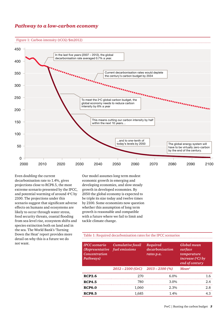### *Pathway to a low-carbon economy*

Figure 1: Carbon intensity (tCO2/\$m2012)



Even doubling the current decarbonisation rate to 1.4%, gives projections close to RCP8.5, the most extreme scenario presented by the IPCC, and potential warming of around 4°C by 2100. The projections under this scenario suggest that significant adverse effects on humans and ecosystems are likely to occur through water stress, food security threats, coastal flooding from sea-level rise, ecosystem shifts and species extinction both on land and in the sea. The World Bank's 'Turning Down the Heat' report provides more detail on why this is a future we do not want.

Our model assumes long term modest economic growth in emerging and developing economies, and slow steady growth in developed economies. By 2050 the global economy is expected to be triple its size today and twelve times by 2100. Some economists now question whether this assumption of long term growth is reasonable and compatible with a future where we fail to limit and tackle climate change.

#### Table 1: Required decarbonisation rates for the IPCC scenarios

| <b>IPCC</b> scenario<br>(Representative<br><b>Concentration</b><br>Pathways) | <b>Cumulative fossil</b><br>fuel emissions | Required<br>decarbonisation<br>rates p.a. | Global mean<br>surface<br>temperature<br>increase $(^{\circ}C)$ by<br>end of century |  |
|------------------------------------------------------------------------------|--------------------------------------------|-------------------------------------------|--------------------------------------------------------------------------------------|--|
|                                                                              | $2012 - 2100$ (GtC) $2013 - 2100$ (%)      |                                           | Mean <sup>2</sup>                                                                    |  |
| <b>RCP2.6</b>                                                                | 270                                        | $6.0\%$                                   | 16                                                                                   |  |
| <b>RCP4.5</b>                                                                | 780                                        | $3.0\%$                                   | 2.4                                                                                  |  |
| <b>RCP6.0</b>                                                                | 1.060                                      | 2.3%                                      | 2. R                                                                                 |  |
| <b>RCP8.5</b>                                                                | 1.685                                      | $1.4\%$                                   | 4.3                                                                                  |  |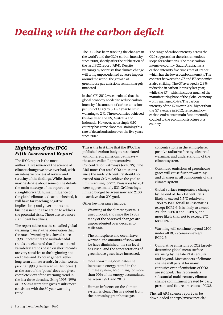# *Dealing with the carbon deficit*

The LCEI has been tracking the changes in the world's and the G20's carbon intensity since 2008, shortly after the publication of the last IPCC report (AR4). Despite warnings by scientists that climate change will bring unprecedented adverse impacts around the world, the growth of greenhouse gas emissions remains largely unabated.

In the LCEI 2012 we calculated that the global economy needed to reduce carbon intensity (the amount of carbon emissions per unit of GDP) by 5.1% a year to limit warming to 2*°*C. Three countries achieved this last year: the US, Australia and Indonesia. However, not a single G20 country has come close to sustaining this rate of decarbonisation over the five years since 2007.

The range of carbon intensity across the G20 suggests that there is tremendous scope for reductions. The most carbon intensive country, Saudi Arabia, has a carbon intensity five times that of France, which has the lowest carbon intensity. The contrast between the G7 and E7 economies is also striking. The G7 averaged a 2.3% reduction in carbon intensity last year, while the E7 – which includes much of the manufacturing base of the global economy – only managed 0.4%. The carbon intensity of the E7 is over 70% higher than the G7 average in 2012, reflecting how carbon emissions remain fundamentally coupled to the economic structure of a country.

## *Highlights of the IPCC Fifth Assessment Report*

The IPCC report is the most authoritative review of the science of climate change we have ever had, with an intensive process of review and scrutiny of the findings. While there may be debate about some of the details, the main message of the report are straightforward: human influence on the global climate is clear; unchecked, it will have far reaching negative implications; and governments and business need to take action to address the potential risks. There are two more significant headlines.

The report addresses the so-called global warming 'pause' – the observation that the rate of warming has slowed since 1998. It notes that the multi-decadal trends are clear and that 'due to natural variability, trends based on short records are very sensitive to the beginning and end dates and do not in general reflect long-term climate trends'. In other words, picking 1998 (a very warm El Nino year) as the start of the 'pause' does not give a complete view of the warming trend in the last three decades. Using 1995, 1996 or 1997 as a start date gives results more consistent with the 30 year warming trend.

This is the first time that the IPCC has published carbon budgets associated with different emissions pathways – these are called Representative Concentration Pathways (or RCPs). The AR5 notes that total CO2 emissions since the mid-19th century should not exceed 800 GtC to achieve the goal to limit warming to 2°C. Emissions by 2011 were approximately 531 GtC leaving a limited budget between now and 2100 to achieve that 2°C goal.

Other key messages include:

- Warming of the climate system is unequivocal, and since the 1950s many of the observed changes are unprecedented over decades to millennia.
- The atmosphere and ocean have warmed, the amounts of snow and ice have diminished, the sea level has risen, and the concentrations of greenhouse gases have increased.
- Ocean warming dominates the increase in energy stored in the climate system, accounting for more than 90% of the energy accumulated between 1971 and 2010.

• Human influence on the climate system is clear. This is evident from the increasing greenhouse gas

concentrations in the atmosphere, positive radiative forcing, observed warming, and understanding of the climate system.

- Continued emissions of greenhouse gases will cause further warming and changes in all components of the climate system.
- Global surface temperature change by the end of the 21st century is likely to exceed 1.5°C relative to 1850 to 1900 for all RCP scenarios except RCP2.6. It is likely to exceed 2°C for RCP6.0 and RCP8.5, and more likely than not to exceed 2°C for RCP4.5.
- Warming will continue beyond 2100 under all RCP scenarios except RCP2.6.
- Cumulative emissions of CO2 largely determine global mean surface warming by the late 21st century and beyond. Most aspects of climate change will persist for many centuries even if emissions of CO2 are stopped. This represents a substantial multi-century climate change commitment created by past, present and future emissions of CO2.

The full AR5 science report can be downloaded at http://www.ipcc.ch/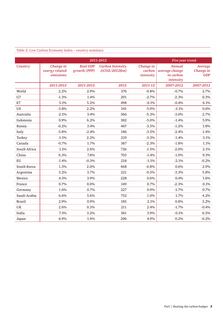## Table 2: Low Carbon Economy Index – country summary

| 2011-2012      |                                          |                                 |                                              |                                  | Five year trend                                           |                                    |
|----------------|------------------------------------------|---------------------------------|----------------------------------------------|----------------------------------|-----------------------------------------------------------|------------------------------------|
| <b>Country</b> | Change in<br>energy related<br>emissions | <b>Real GDP</b><br>growth (PPP) | <b>Carbon Intensity</b><br>$(tCO2/2012$ \$m) | Change in<br>carbon<br>intensity | <b>Annual</b><br>average change<br>in carbon<br>intensity | Average<br>Change in<br><b>GDP</b> |
|                | 2011-2012                                | 2011-2012                       | 2012                                         | 2011-12                          | 2007-2012                                                 | 2007-2012                          |
| World          | 2.2%                                     | 2.9%                            | 376                                          | $-0.8%$                          | $-0.7%$                                                   | 2.7%                               |
| G7             | $-1.3%$                                  | 1.4%                            | 291                                          | $-2.7%$                          | $-2.3%$                                                   | 0.3%                               |
| E7             | 5.1%                                     | 5.2%                            | 498                                          | $-0.1%$                          | $-0.4%$                                                   | 6.1%                               |
| <b>US</b>      | $-3.8%$                                  | 2.2%                            | 341                                          | $-5.9%$                          | $-3.1%$                                                   | 0.6%                               |
| Australia      | $-2.1%$                                  | 3.4%                            | 366                                          | $-5.3%$                          | $-3.0%$                                                   | 2.7%                               |
| Indonesia      | 0.9%                                     | 6.2%                            | 382                                          | $-5.0%$                          | $-1.4%$                                                   | 5.9%                               |
| Russia         | $-0.2%$                                  | 3.4%                            | 467                                          | $-3.5%$                          | $-1.2%$                                                   | 1.8%                               |
| Italy          | $-5.8%$                                  | $-2.4%$                         | 186                                          | $-3.5%$                          | $-2.4%$                                                   | $-1.4%$                            |
| Turkey         | $-1.1\%$                                 | 2.2%                            | 219                                          | $-3.3%$                          | $-1.4%$                                                   | 3.1%                               |
| Canada         | $-0.7%$                                  | 1.7%                            | 387                                          | $-2.3%$                          | $-1.8%$                                                   | 1.1%                               |
| South Africa   | 1.1%                                     | 2.6%                            | 726                                          | $-1.5%$                          | $-2.0%$                                                   | 2.1%                               |
| China          | 6.3%                                     | 7.8%                            | 703                                          | $-1.4%$                          | $-1.9%$                                                   | 9.3%                               |
| EU             | $-1.4%$                                  | $-0.3%$                         | 218                                          | $-1.1%$                          | $-2.1%$                                                   | $-0.2%$                            |
| South Korea    | 1.3%                                     | 2.0%                            | 468                                          | $-0.8%$                          | 0.6%                                                      | 2.9%                               |
| Argentina      | 3.2%                                     | 3.7%                            | 221                                          | $-0.5%$                          | $-3.3%$                                                   | 5.8%                               |
| Mexico         | 4.5%                                     | 3.9%                            | 228                                          | 0.6%                             | 0.4%                                                      | 1.6%                               |
| France         | 0.7%                                     | 0.0%                            | 149                                          | 0.7%                             | $-2.3%$                                                   | 0.1%                               |
| Germany        | 1.6%                                     | 0.7%                            | 227                                          | 0.9%                             | $-1.7%$                                                   | 0.7%                               |
| Saudi Arabia   | 6.6%                                     | 5.6%                            | 752                                          | 1.0%                             | 1.7%                                                      | 4.2%                               |
| Brazil         | 2.9%                                     | 0.9%                            | 185                                          | 2.1%                             | 0.8%                                                      | 3.2%                               |
| UK             | 2.6%                                     | 0.3%                            | 211                                          | 2.4%                             | $-1.7%$                                                   | $-0.4%$                            |
| India          | 7.3%                                     | 3.2%                            | 361                                          | 3.9%                             | $-0.1%$                                                   | 6.5%                               |
| Japan          | 6.9%                                     | 1.9%                            | 296                                          | 4.9%                             | 0.2%                                                      | $-0.2%$                            |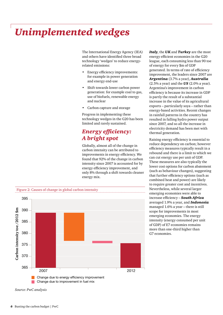# *Unimplemented wedges*

The International Energy Agency (IEA) and others have identified three broad technology 'wedges' to reduce energyrelated emissions:

- Energy efficiency improvements: for example in power generation and energy end-use
- Shift towards lower carbon power generation: for example coal to gas, use of biofuels, renewable energy and nuclear
- Carbon capture and storage

Progress in implementing these technology wedges in the G20 has been limited and rarely sustained.

## *Energy efficiency: A bright spot*

Globally, almost all of the change in carbon intensity can be attributed to improvements in energy efficiency. We found that 92% of the change in carbon intensity since 2007 is accounted for by energy efficiency improvement, and only 8% through a shift towards cleaner energy mix.

*Italy*, the *UK* and *Turkey* are the most energy efficient economies in the G20 league, each consuming less than 90 toe of energy for every \$m of GDP generated. In terms of rate of efficiency improvement, the leaders since 2007 are *Argentina* (3.7% a year), *Australia* (2.5% a year) and the *US* (2.0% a year). Argentina's improvement in carbon efficiency is because its increase in GDP is partly the result of a substantial increase in the value of its agricultural exports – particularly soya – rather than energy-based activities. Recent changes in rainfall patterns in the country has resulted in falling hydro power output since 2007, and so all the increase in electricity demand has been met with thermal generation.

Raising energy efficiency is essential to reduce dependency on carbon; however efficiency measures typically result in a rebound and there is a limit to which we can cut energy use per unit of GDP. These measures are also typically the lower cost options for carbon abatement (such as behaviour changes), suggesting that further efficiency options (such as combined heat and power) are likely to require greater cost and incentives. Nevertheless, while several larger emerging economies were able to increase efficiency – *South Africa* averaged 1.9% a year, and *Indonesia* managed 1.6% a year – there is still scope for improvements in most emerging economies. The energy intensity (energy consumed per unit of GDP) of E7 economies remains more than one-third higher than G7 economies.



*Source: PwC analysis*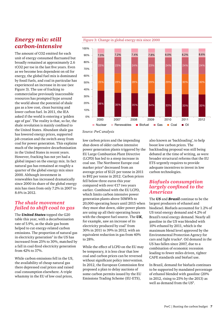## *Energy mix: still carbon-intensive*

The amount of CO2 emitted for each unit of energy consumed fluctuated but broadly remained at approximately 2.6 tCO2 per toe in the last five years. Even as we become less dependent on oil for energy, the global fuel mix is dominated by fossil fuels, and coal in particular has experienced an increase in its use (see Figure 3). The use of fracking to commercialise previously inaccessible resources has prompted hype around the world about the potential of shale gas as a low cost, clean burning and lower carbon fuel. In 2011, the IEA asked if the world is entering a 'golden age of gas'. The reality is that, so far, the shale revolution is mainly confined to the United States. Abundant shale gas has lowered energy prices, supported job creation and the switch away from coal for power generation. This explains much of the impressive decarbonisation in the United States in recent years. However, fracking has not yet had a global impact on the energy mix. In fact natural gas has remained at roughly a quarter of the global energy mix since 2000. Although investment in renewables has increased dramatically since 2000 its share of the global energy mix has risen from only 7.2% in 2007 to 8.6% in 2012.

#### *The shale movement failed to shift coal to gas*

The *United States* topped the G20 table this year, with a decarbonisation rate of 5.9%, as the shale gas boom helped to cut energy-related carbon emissions. The proportion of natural gas in electricity generation<sup>5</sup> in the US has increased from 25% to 30%, matched by a fall in coal-fired electricity generation from 42% to 37%.

While carbon emissions fell in the US, the availability of cheap natural gas there depressed coal prices and raised coal consumption elsewhere. A triple whammy in the EU of low coal prices,

Figure 3: Change in global energy mix since 2000



*Source: PwC analysis*

low carbon prices and the impending shut-down of older carbon intensive power generation plants triggered by the EU Large Combustion Plant Directive (LCPD) has led to a steep increase in coal use. The Northwest Europe coal marker price<sup>6</sup> decreased from an average price of \$121 per tonne in 2011 to \$92 per tonne in 2012. Carbon prices fell below three euros this year compared with over €17 two years earlier. Combined with the EU LCPD, which limits carbon intensive power generation plants above 50MWh to 20,000 operating hours until 2015 when they must shut down, older power plants are using up all their operating hours with the cheapest fuel source. The *UK*, for example, saw an increase of its electricity produced by coal<sup>7</sup> from 30% in 2011 to 39% in 2012; with an equivalent reduction in gas from 40% to 28%.

While the effect of LCPD on the EU may be temporary, it is less clear that low coal and carbon prices can be reversed without significant policy intervention. In 2012, the European Commission first proposed a plan to delay auctions of some carbon permits issued by the EU Emissions Trading Scheme (EU-ETS),

also known as 'backloading', to help boost low carbon prices. The backloading proposal was still being debated at the time of writing, as were broader structural reforms that the EU ETS urgently requires to provide adequate incentives to invest in low carbon technologies.

### *Biofuels consumption largely confined to the Americas*

The *US* and *Brazil* continue to be the largest producers of ethanol and biodiesel. Biofuels accounted for 1.2% of US total energy demand and 4.2% of Brazil's total energy demand. Nearly all gasoline in the US was blended with 10% ethanol by 2011, which is the maximum blend level approved by the Environmental Protection Agency for cars and light trucks<sup>8</sup>. Oil demand in the US has fallen since 2007, due to a combination of economic recession leading to fewer miles driven, tighter CAFE standards and biofuel use.

In Brazil, demand for biofuels continues to be supported by mandated percentage of ethanol blended with gasoline (20% in 2012, rising to 25% by the 2013) as well as demand from the US<sup>9</sup>.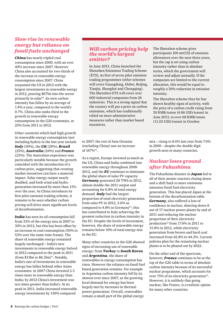### *Slow rise in renewable energy but reliance on fossil fuels unchanged*

*China* has nearly tripled coal consumption since 2000, with an over 40% increase since 2007. However China also accounted for two-thirds of the increase in renewable energy consumption since 2007. China surpassed the US in 2012 with the largest investments in renewable energy in 2012, pouring \$67bn into the sector primarily in solar<sup>10</sup>. Its own carbon intensity has fallen by an average of 1.9% a year, compared to the world's 0.7%. China also ranks third in the growth in renewable energy consumption in the G20 economies, at 25% from 2011 to 2012.

Other countries which had high growth in renewable energy consumption (not including hydro) in the last year include *Italy* (30%), the *UK* (29%), *Brazil* (25%), *Australia* (24%) and *France* (23%). The Australian experience was particularly notable because the growth coincided with the introduction of a carbon price, suggesting that creating market incentives can have a material impact. Solar energy output nearly doubled, and both wind and hydro generation increased by more than 15% over the year. As China introduces its first pilot emission trading scheme, it remains to be seen whether carbon pricing will drive more significant levels of decarbonisation.

*India* has seen its oil consumption fall from 33% of the energy mix in 2007 to 30% in 2012, but this has been offset by an increase in coal consumption (50% to 53% over the same time frame). The share of renewable energy remained largely unchanged – India's new investments in renewable energy halved in 2012 compared to the peak in 2011 (from \$13bn to  $$6.5bn$ <sup>11</sup>. Notably, India's rate of investments in renewable energy has fallen behind other Asian economies: in 2007 China invested 2.5 times more in renewable energy than India; by 2012 China's investment was ten times greater than India's. At its peak in 2011, India increased renewable energy investments by 136% compared

### *Will carbon pricing help the world's largest emitter?*

In June 2013, China launched the Shenzhen Emissions Trading Scheme (ETS), its first of seven pilot emission trading programmes (other schemes will cover Guangdong, Hubei, Beijing, Tianjin, Shanghai and Chongqing). The Shenzhen ETS will cover over 600 industrial companies from 26 industries. This is a strong signal that the country will put a price on carbon emissions, which has traditionally relied on more administrative measures rather than market based incentives.

to 2007, the rest of Asia-Oceania (excluding China) saw an increase of 167%12.

As a region, Europe invested as much as the US, China and India combined into renewable energy throughout 2008- 2012, and the *EU* continues to dominate the global share of solar PV capacity. *Germany* generated 28 TWh in 2012, almost double the 2011 output and accounting for 0.8% of total energy demand. *Italy* had the largest proportion of total electricity generation from solar PV in 2012, 5.6% as compared to 4.8% in Germany<sup>13</sup>; this has contributed to Italy achieving the greatest reduction in carbon intensity in the EU. Despite the levels of investment, however, the share of renewable energy remains below 10% of total energy mix in the EU.

Many other countries in the G20 showed signs of increasing use of renewable energy: from *Turkey* to *South Korea* and *Argentina*, the share of renewables in energy consumption has risen. However the reliance on fossil fuel based generation remains. For example in Argentina carbon intensity fell by its slowest ever since 2007, as the growing local demand for energy has been largely met by increases in thermal power generation. Overall, renewables remain a small part of the global energy

The Shenzhen scheme gives participants 100 mtCO2 of emission allowances over the next three years, but the cap is set using carbon intensity rather than in absolute terms, which the government will review and adjust annually. If the companies are limited to the current allocation, this would be equal to roughly a 30% reduction in emission intensity.

The Shenzhen scheme thus far has shown healthy signs of activity, with the price of a carbon credit rising from 30 RMB/tonne (4.86 USD/tonne) in June 2013, to over 68 RMB/tonne (11.03 USD/tonne) in October.

mix – rising to 8.6% last year from 7.0% in 2000 – despite the double digit growth seen in many countries.

### *Nuclear loses ground after Fukushima*

The Fukushima disaster in *Japan* led to all of their atomic reactors closing down and a shift back to more emissions intensive fossil fuel electricity generation. This has placed Japan at the bottom of the decarbonisation table. *Germany*, also suffered a loss of confidence in nuclear, shutting down 8 out of 17 nuclear power plants by end of 2011 and reducing the nuclear proportion of their electricity production<sup>14</sup> from 17.6% in 2011 to 15.8% in 2012, while electricity generation from brown and hard coal increased from 42.8% to 44.2%. Current policies plan for the remaining nuclear plants is to be phased out by 2022.

On the other end of the spectrum, however, *France* continues to be at the top of the G20 table in terms of absolute carbon intensity because of its successful nuclear programme, which accounts for over 75% of its electricity generation<sup>15</sup>. However, it is unlikely that going nuclear, like France, is a realistic option for many other countries.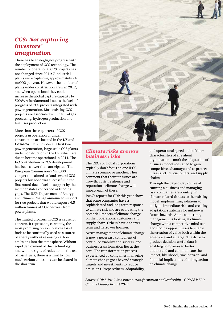## *CCS: Not capturing investors' imagination*

There has been negligible progress with the deployment of CCS technology. The number of operational CCS projects has not changed since 2011: 7 industrial plants were capturing approximately 24 mtCO2 per year. However the number of plants under construction grew in 2012, and when operational they could increase the global capture capacity by 50%16. A fundamental issue is the lack of progress of CCS projects integrated with power generation. Most existing CCS projects are associated with natural gas processing, hydrogen production and fertiliser production.

More than three quarters of CCS projects in operation or under construction are located in the *US* and *Canada*. This includes the first two power generation, large scale CCS plants under construction in the US, which are due to become operational in 2014. The *EU* contribution to CCS development has been slower than anticipated. The European Commission's NER300 competition aimed to fund several CCS projects but none was successful in the first round due to lack to support by the member states concerned or funding gaps. The *UK'*s Department of Energy and Climate Change announced support for two projects that would capture 4.5 million tonnes of CO2 per year from power plants.

The limited progress in CCS is cause for concern. It represents, currently, the most promising option to allow fossil fuels to be continually used as a source of energy without releasing carbon emissions into the atmosphere. Without rapid deployment of this technology, and with no signs of reduction in the use of fossil fuels, there is a limit to how much carbon emissions can be abated in the short run.



### *Climate risks are now business risks*

The CEOs of global corporations typically don't focus on one IPCC climate scenario or another. They comment that their top issues are growth, costs, resilience and reputation – climate change will impact each of these.

PwC's reports for CDP this year show that some companies have a sophisticated and long term response to climate risk and are evaluating the potential impacts of climate change on their operations, customers and supply chain. Others have a shorter term and narrower horizon.

Active management of climate change is now a necessary component of continued viability and success, and business transformation lies at the core. The transformation process experienced by companies managing climate change goes beyond strategic targets and investments to reduce emissions. Preparedness, adaptability, and operational speed—all of them characteristics of a resilient organization—mark the adaptation of business models designed to gain competitive advantage and to protect infrastructure, customers, and supply chains.

Through the day-to-day course of running a business and managing risk, companies are identifying climate-related threats to the existing model, implementing solutions to mitigate immediate risk, and creating adaptation strategies for unknown future hazards. At the same time, management is looking at climate change with a competitive mind-set and finding opportunities to enable the creation of value both within the enterprise and at large. The drive to produce decision-useful data is enabling companies to better understand and communicate the impact, likelihood, time horizon, and financial implications of taking action on climate change.

*Source: CDP & PwC: Investment, transformation and leadership – CDP S&P 500 Climate Change Report 2013*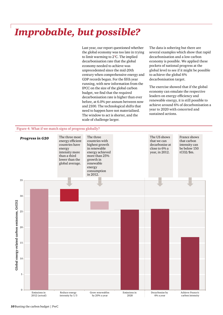# *Improbable, but possible?*

Last year, our report questioned whether the global economy was too late in trying to limit warming to 2*°*C. The implied decarbonisation rate that the global economy needed to achieve was unprecedented since the mid-20th century when comprehensive energy and GDP records began. For the fifth year running, with new information from the IPCC on the size of the global carbon budget, we find that the required decarbonisation rate is higher than ever before, at 6.0% per annum between now and 2100. The technological shifts that need to happen have not materialised. The window to act is shorter, and the scale of challenge larger.

The data is sobering but there are several examples which show that rapid decarbonisation and a low carbon economy is possible. We applied these pockets of national progress at the global level to see if it might be possible to achieve the global 6% decarbonisation target.

The exercise showed that if the global economy can emulate the respective leaders on energy efficiency and renewable energy, it is still possible to achieve around 6% of decarbonisation a year to 2020 with concerted and sustained actions.



#### 10 Busting the carbon budget | PwC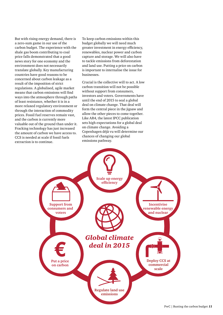But with rising energy demand, there is a zero-sum game in our use of the carbon budget. The experience with the shale gas boom contributing to coal price falls demonstrated that a good news story for one economy and the environment does not necessarily translate globally. Key manufacturing countries have good reasons to be concerned about carbon leakage as a result of the imposition of strict regulations. A globalised, agile market means that carbon emissions will find ways into the atmosphere through paths of least resistance, whether it is in a more relaxed regulatory environment or through the interaction of commodity prices. Fossil fuel reserves remain vast, and the carbon is currently more valuable out of the ground than under it. Fracking technology has just increased the amount of carbon we have access to. CCS is needed at scale if fossil fuels extraction is to continue.

To keep carbon emissions within this budget globally we will need much greater investment in energy efficiency, renewables, nuclear power and carbon capture and storage. We will also have to tackle emissions from deforestation and land use. Putting a price on carbon is important to internalise the issue for businesses.

Crucial is the collective will to act. A low carbon transition will not be possible without support from consumers, investors and voters. Governments have until the end of 2015 to seal a global deal on climate change. That deal will form the central piece in the jigsaw and allow the other pieces to come together. Like AR4, the latest IPCC publication sets high expectations for a global deal on climate change. Avoiding a Copenhagen déjà vu will determine our chances of changing our global emissions pathway.

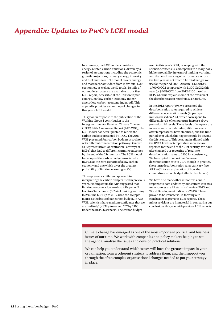## *Appendix: Updates to PwC's LCEI model*

In summary, the LCEI model considers energy-related carbon emissions, driven by a series of assumptions including the economic growth projections, primary energy intensity and fuel mix share. The model covers energy and macroeconomic data from individual G20 economies, as well as world totals. Details of our model structure are available in our first LCEI report, accessible at the link www.pwc. com/gx/en/low-carbon-economy-index/ assets/low-carbon-economy-index.pdf. This appendix provides a summary of changes in this year's LCEI model.

This year, in response to the publication of the Working Group 1 contribution to the Intergovernmental Panel on Climate Change (IPCC) Fifth Assessment Report (AR5 WG1), the LCEI model has been updated to reflect the carbon budgets presented by IPCC. The AR5 WG1 presented four carbon budgets associated with different concentration pathways (known as Representative Concentration Pathways or RCP's) that lead to different warming outcomes by the end of the 21st century. The LCEI model has adopted the carbon budget associated with RCP2.6 as the core scenario of a low carbon economy and one which gives the greatest probability of limiting warming to 2°C.

This represents a different approach in interpreting the carbon budgets used in previous years. Findings from the AR4 suggested that limiting concentration levels to 450ppm will lead to a 'fair chance' (50%) of limiting warming to 2°C. The LCEI up to 2012 used the 450ppm metric as the basis of our carbon budget. In AR5 WG1, scientists have medium confidence that we are 'unlikely' (<33%) to exceed 2°C by 2100 under the RCP2.6 scenario. The carbon budget

used in this year's LCEI, in keeping with the scientific consensus, corresponds to a marginally higher probability in terms of limiting warming, and the benchmarking of performance across the two years is not exact. The total budget we use for the period 2000-2100 in LCEI 2012 is 1,700 GtCO2 compared with 1,300 GtCO2 this year (or 990GtCO2 from 2012-2100 based on RCP2.6). This explains some of the revision of the decarbonisation rate from 5.1% to 6.0%.

In the 2012 report (p9), we presented the decarbonisation rates required to achieve different concentration levels (in parts per million) based on AR4, which correspond to different levels of temperature increase above pre-industrial levels. These levels of temperature increase were considered equilibrium levels, after temperatures have stabilised, and the time period over which this happens could be beyond the 21st century. This year, again aligned with the IPCC, levels of temperature increase are reported for the end of the 21st century. We have also changed our reporting of results to decarbonisation rates to 2100 for consistency. We have opted to report one 'average' decarbonisation rate to 2100 though in practice, short term decarbonisation rates can vary (see AR5 WG1 for an explanation of how the cumulative carbon budget affects the climate).

We have also made other minor revisions in response to data updates by our sources (our two main sources are BP statistical review 2013 and World Development Indicators 2013). These proved to be immaterial in forming our conclusions in previous LCEI reports. These minor revisions are immaterial in comparing our conclusions this year with previous LCEI reports.

Climate change has emerged as one of the most important political and business issues of our time. We work with companies and policy makers helping to set the agenda, analyse the issues and develop practical solutions.

We can help you understand which issues will have the greatest impact in your organisation, form a coherent strategy to address them, and then support you through the often complex organisational changes needed to put your strategy in place.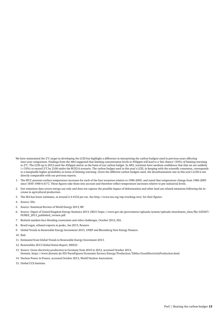- We have maintained the 2°C target in developing the LCEI but highlight a difference in interpreting the carbon budgets used in previous years affecting inter-year comparison. Findings from the AR4 suggested that limiting concentration levels to 450ppm will lead to a 'fair chance' (50%) of limiting warming to 2°C. The LCEI up to 2012 used the 450ppm metric as the basis of our carbon budget. In AR5, scientists have medium confidence that that we are unlikely (<33%) to exceed 2°C by 2100 under the RCP2.6 scenario. The carbon budget used in this year's LCEI, in keeping with the scientific consensus, corresponds to a marginally higher probability in terms of limiting warming. Given the different carbon budgets used, the decarbonisation rate in this year's LCEI is not directly comparable with our previous reports.
- 1. The IPCC presents surface temperature increases for each of the four scenarios relative to 1986-2005, and noted that temperature change from 1986-2005 since 1850-1900 0.61°C. These figures take these into account and therefore reflect temperature increases relative to pre-industrial levels.
- 2. Our emissions data covers energy use only and does not capture the possible impact of deforestation and other land use related emissions following the increase in agricultural production.
- 3. The IEA has lower estimates, at around 2.4 tCO2 per toe. See http://www.iea.org/etp/tracking/esci/ for their figures.
- 4. Source: EIA.
- 5. Source: Statistical Review of World Energy 2013, BP.
- 6. Source: Digest of United Kingdom Energy Statistics 2013, DECC https://www.gov.uk/government/uploads/system/uploads/attachment\_data/file/225067/ DUKES\_2013\_published\_version.pdf.
- 7. Biofuels markets face blending constraints and other challenges, October 2012, EIA.
- 8. Brazil sugar, ethanol exports at peaks, Jan 2013, Reuters.
- 9. Global Trends in Renewable Energy Investment 2013, UNEP and Bloomberg New Energy Finance.
- 10. Ibid.
- 11. Estimated from Global Trends in Renewable Energy Investment 2013.
- 12. Renewables 2013 Global Status Report, REN21.
- 13. Source: Gross electricity production in Germany from 2010 to 2012, accessed October 2013, Destatis, https://www.destatis.de/EN/FactsFigures/Economic Sectors/Energy/Production/Tables/GrossElectricityProduction.html.
- 14. Nuclear Power in France, accessed October 2013, World Nuclear Association.
- 15. Global CCS Institute.